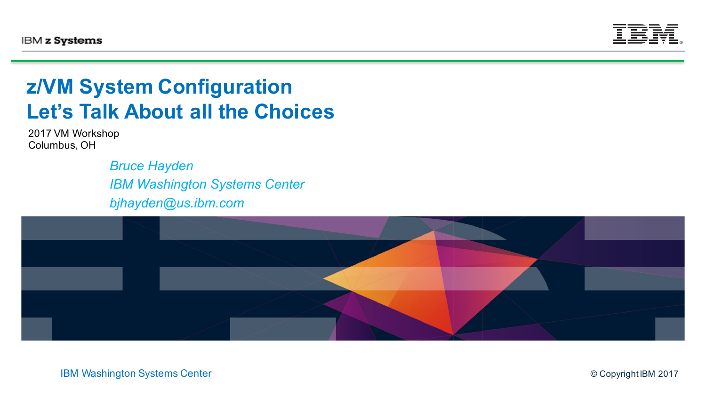

#### **z/VM System Configuration Let's Talk About all the Choices**

2017 VM Workshop Columbus, OH

> *Bruce Hayden IBM Washington Systems Center bjhayden@us.ibm.com*

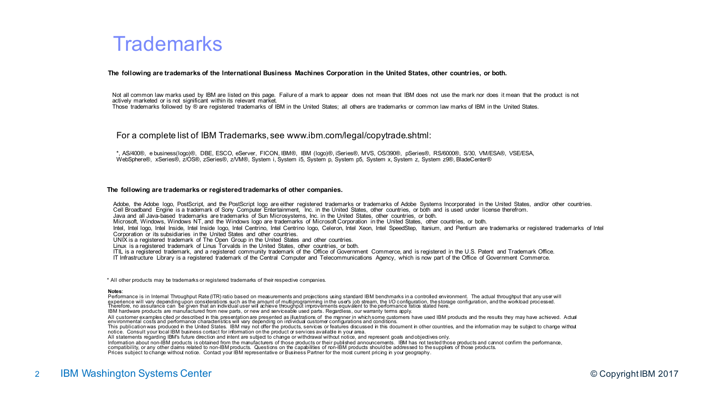#### **Trademarks**

#### **The following are trademarks of the International Business Machines Corporation in the United States, other countries, or both.**

Not all common law marks used by IBM are listed on this page. Failure of a mark to appear does not mean that IBM does not use the mark nor does it mean that the product is not actively marketed or is not significant within its relevant market.

Those trademarks followed by ® are registered trademarks of IBM in the United States; all others are trademarks or common law marks of IBM in the United States.

#### For a complete list of IBM Trademarks, see www.ibm.com/legal/copytrade.shtml:

\*, AS/400®, e business(logo)®, DBE, ESCO, eServer, FICON, IBM®, IBM (logo)®, iSeries®, MVS, OS/390®, pSeries®, RS/6000®, S/30, VM/ESA®, VSE/ESA, WebSphere®, xSeries®, z/OS®, zSeries®, z/VM®, System i, System i5, System p, System p5, System x, System z, System z9®, BladeCenter®

#### **The following are trademarks or registered trademarks of other companies.**

Adobe, the Adobe logo, PostScript, and the PostScript logo are either registered trademarks or trademarks of Adobe Systems Incorporated in the United States, and/or other countries. Cell Broadband Engine is a trademark of Sony Computer Entertainment, Inc. in the United States, other countries, or both and is used under license therefrom. Java and all Java-based trademarks are trademarks of Sun Microsystems, Inc. in the United States, other countries, or both. Microsoft, Windows, Windows NT, and the Windows logo are trademarks of Microsoft Corporation in the United States, other countries, or both. Intel, Intel logo, Intel Inside, Intel Inside Iogo, Intel Centrino, Intel Centrino Iogo, Celeron, Intel Xeon, Intel SpeedStep, Itanium, and Pentium are trademarks or registered trademarks of Intel Corporation or its subsidiaries in the United States and other countries. UNIX is a registered trademark of The Open Group in the United States and other countries. Linux is a registered trademark of Linus Torvalds in the United States, other countries, or both. ITIL is a registered trademark, and a registered community trademark of the Office of Government Commerce, and is registered in the U.S. Patent and Trademark Office. IT Infrastructure Library is a registered trademark of the Central Computer and Telecommunications Agency, which is now part of the Office of Government Commerce.

\* All other products may be trademarks or registered trademarks of their respective companies.

#### **Notes**:

Performance is in Internal Throughput Rate (ITR) ratio based on measurements and projections using standard IBM benchmarks in a controlled environment. The actual throughput that any user will experience will vary depending upon considerations such as the amount of multiprogramming in the use's job stream, the I/O configuration, the storage configuration, and the workload processed.<br>Therefore, no assurance can b IBM hardware products are manufactured from new parts, or new and serviceable used parts. Regardless, our warranty terms apply.

All customer examples cited or described in this presentation are presented as illustrations of the manner in which some customers have used IBM products and the results they may have achieved. Actual<br>environmental costs a

All statements regarding IBM's future direction and intent are subject to change or withdrawal without notice, and represent goals and objectives only.

Information about non-IBM products is obtained from the manufacturers of those products or their published announcements. IBM has not tested those products and cannot confirm the performance, compatibility, or any other da

Prices subject to change without notice. Contact your IBM representative or Business Partner for the most current pricing in your geography.

#### 2 IBM Washington Systems Center **CENTER CONSISTENT** CONSISTENT CONTRACT CONTRACT CONTRACT CONTRACT CONTRACT CONTRACT CONTRACT CONTRACT CONTRACT CONTRACT CONTRACT CONTRACT CONTRACT CONTRACT CONTRACT CONTRACT CONTRACT CONTRA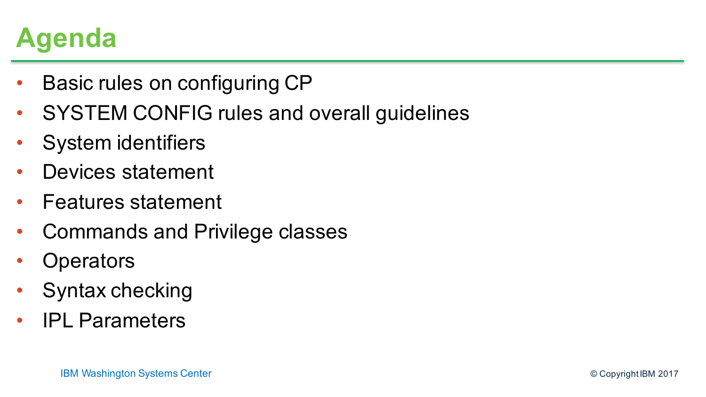### **Agenda**

- Basic rules on configuring CP
- SYSTEM CONFIG rules and overall guidelines
- System identifiers
- Devices statement
- Features statement
- Commands and Privilege classes
- **Operators**
- Syntax checking
- IPL Parameters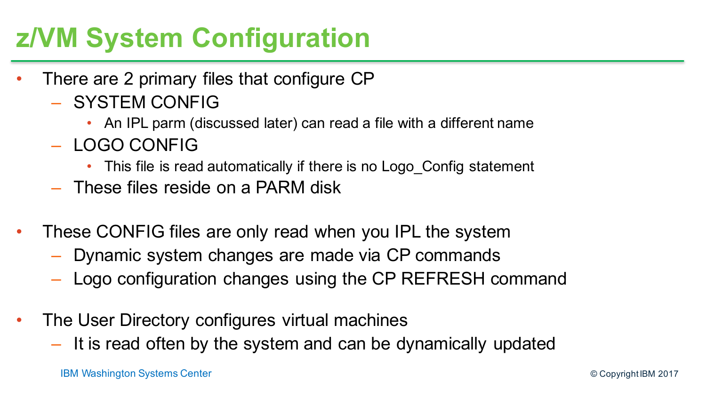### **z/VM System Configuration**

- There are 2 primary files that configure CP
	- SYSTEM CONFIG
		- An IPL parm (discussed later) can read a file with a different name
	- LOGO CONFIG
		- This file is read automatically if there is no Logo Config statement
	- These files reside on a PARM disk
- These CONFIG files are only read when you IPL the system
	- Dynamic system changes are made via CP commands
	- Logo configuration changes using the CP REFRESH command
- The User Directory configures virtual machines
	- It is read often by the system and can be dynamically updated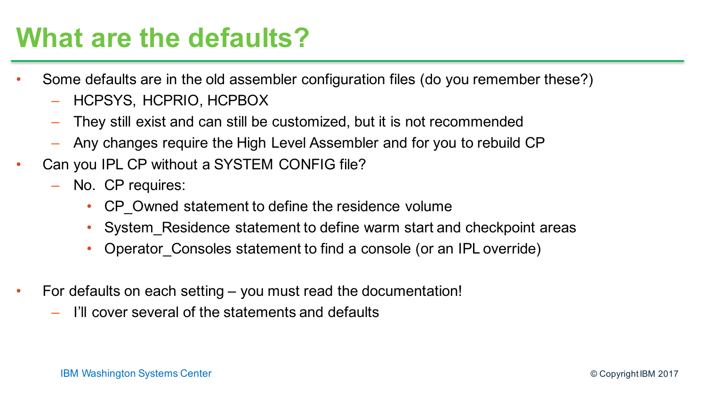#### **What are the defaults?**

- Some defaults are in the old assembler configuration files (do you remember these?)
	- HCPSYS, HCPRIO, HCPBOX
	- They still exist and can still be customized, but it is not recommended
	- Any changes require the High Level Assembler and for you to rebuild CP
- Can you IPL CP without a SYSTEM CONFIG file?
	- No. CP requires:
		- CP Owned statement to define the residence volume
		- System Residence statement to define warm start and checkpoint areas
		- Operator Consoles statement to find a console (or an IPL override)
- For defaults on each setting you must read the documentation!
	- I'll cover several of the statements and defaults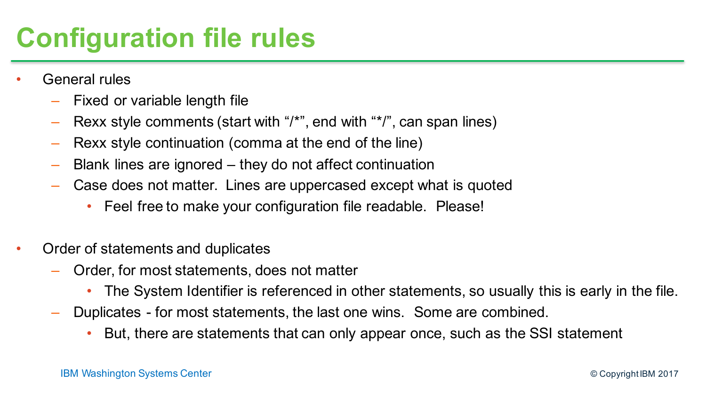# **Configuration file rules**

- General rules
	- Fixed or variable length file
	- Rexx style comments (start with "/\*", end with "\*/", can span lines)
	- Rexx style continuation (comma at the end of the line)
	- Blank lines are ignored they do not affect continuation
	- Case does not matter. Lines are uppercased except what is quoted
		- Feel free to make your configuration file readable. Please!
- Order of statements and duplicates
	- Order, for most statements, does not matter
		- The System Identifier is referenced in other statements, so usually this is early in the file.
	- Duplicates for most statements, the last one wins. Some are combined.
		- But, there are statements that can only appear once, such as the SSI statement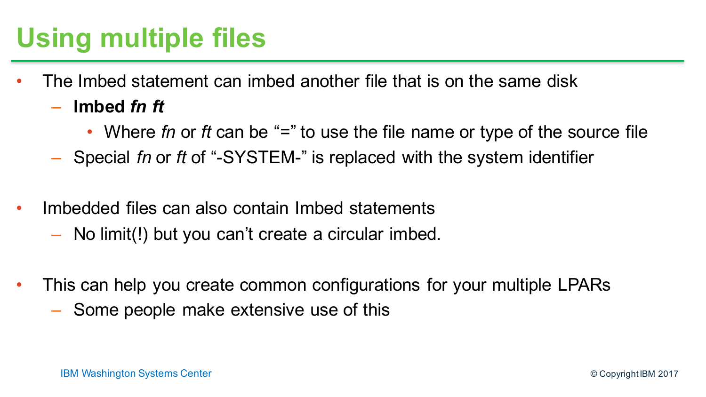# **Using multiple files**

- The Imbed statement can imbed another file that is on the same disk
	- **Imbed** *fn ft*
		- Where *fn* or *ft* can be "=" to use the file name or type of the source file
	- Special *fn* or *ft* of "-SYSTEM-" is replaced with the system identifier
- Imbedded files can also contain Imbed statements
	- No limit(!) but you can't create a circular imbed.
- This can help you create common configurations for your multiple LPARs
	- Some people make extensive use of this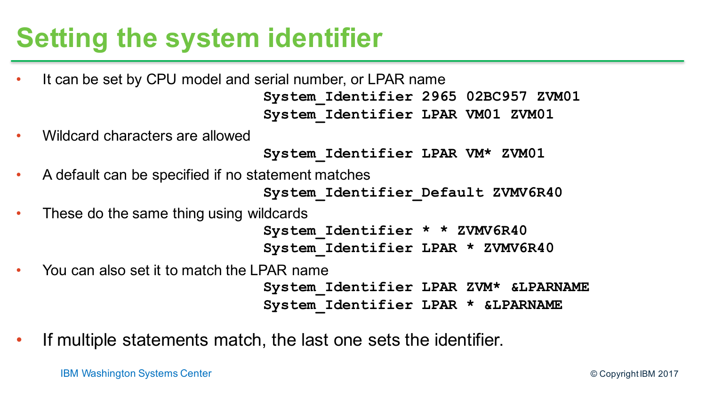### **Setting the system identifier**

- It can be set by CPU model and serial number, or LPAR name **System\_Identifier 2965 02BC957 ZVM01 System\_Identifier LPAR VM01 ZVM01**
- Wildcard characters are allowed

**System\_Identifier LPAR VM\* ZVM01**

• A default can be specified if no statement matches

**System\_Identifier\_Default ZVMV6R40**

• These do the same thing using wildcards

**System\_Identifier \* \* ZVMV6R40 System\_Identifier LPAR \* ZVMV6R40**

• You can also set it to match the LPAR name

**System\_Identifier LPAR ZVM\* &LPARNAME System\_Identifier LPAR \* &LPARNAME**

If multiple statements match, the last one sets the identifier.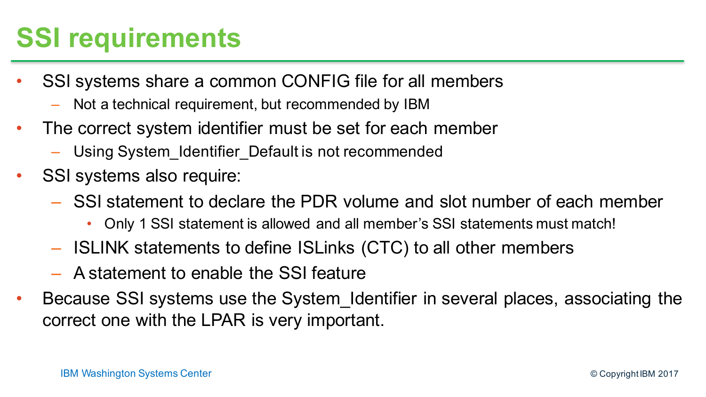# **SSI requirements**

- SSI systems share a common CONFIG file for all members
	- Not a technical requirement, but recommended by IBM
- The correct system identifier must be set for each member
	- Using System\_Identifier\_Default is not recommended
- SSI systems also require:
	- SSI statement to declare the PDR volume and slot number of each member
		- Only 1 SSI statement is allowed and all member's SSI statements must match!
	- ISLINK statements to define ISLinks (CTC) to all other members
	- A statement to enable the SSI feature
- Because SSI systems use the System Identifier in several places, associating the correct one with the LPAR is very important.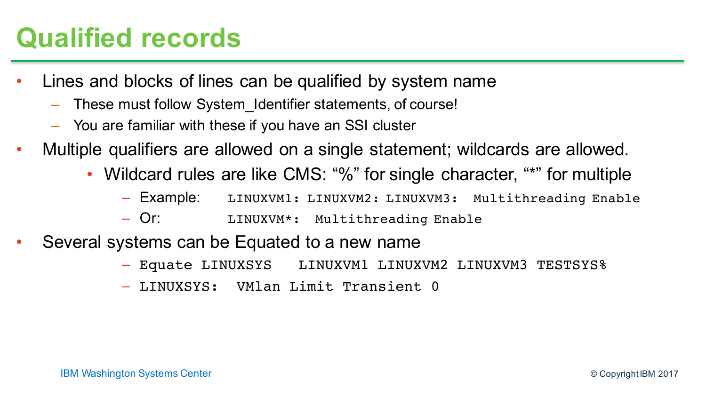### **Qualified records**

- Lines and blocks of lines can be qualified by system name
	- These must follow System\_Identifier statements, of course!
	- You are familiar with these if you have an SSI cluster
- Multiple qualifiers are allowed on a single statement; wildcards are allowed.
	- Wildcard rules are like CMS: "%" for single character, "\*" for multiple
		- Example: LINUXVM1: LINUXVM2: LINUXVM3: Multithreading Enable
		- Or: LINUXVM\*: Multithreading Enable
- Several systems can be Equated to a new name
	- Equate LINUXSYS LINUXVM1 LINUXVM2 LINUXVM3 TESTSYS%
	- LINUXSYS: VMlan Limit Transient 0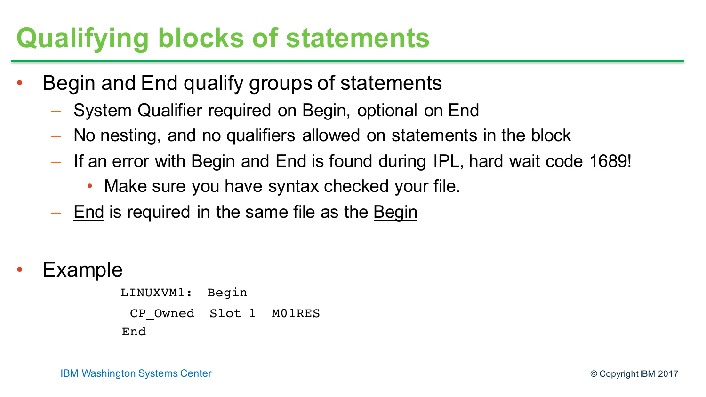#### **Qualifying blocks of statements**

- Begin and End qualify groups of statements
	- System Qualifier required on Begin, optional on End
	- No nesting, and no qualifiers allowed on statements in the block
	- If an error with Begin and End is found during IPL, hard wait code 1689!
		- Make sure you have syntax checked your file.
	- End is required in the same file as the Begin
- **Example**

LINUXVM1: Begin CP\_Owned Slot 1 M01RES End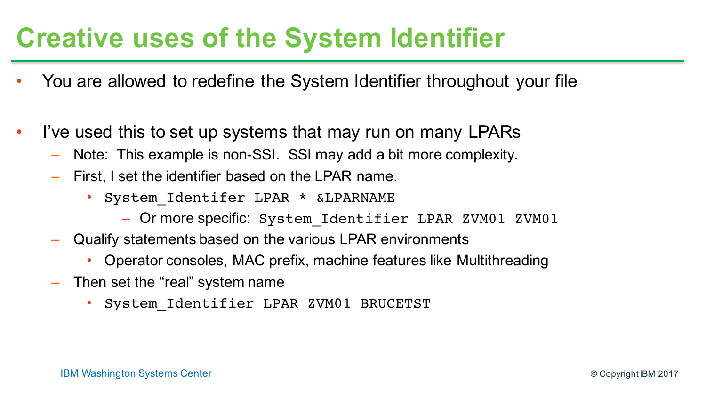#### **Creative uses of the System Identifier**

- You are allowed to redefine the System Identifier throughout your file
- I've used this to set up systems that may run on many LPARs
	- Note: This example is non-SSI. SSI may add a bit more complexity.
	- First, I set the identifier based on the LPAR name.
		- System Identifer LPAR \* &LPARNAME
			- Or more specific: System\_Identifier LPAR ZVM01 ZVM01
	- Qualify statements based on the various LPAR environments
		- Operator consoles, MAC prefix, machine features like Multithreading
	- Then set the "real" system name
		- System Identifier LPAR ZVM01 BRUCETST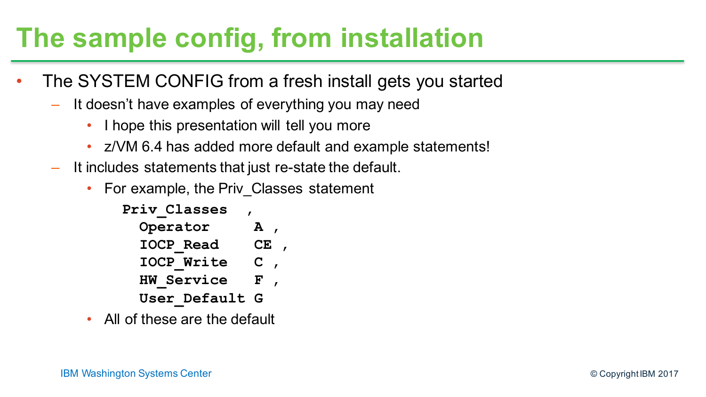### **The sample config, from installation**

- The SYSTEM CONFIG from a fresh install gets you started
	- It doesn't have examples of everything you may need
		- I hope this presentation will tell you more
		- z/VM 6.4 has added more default and example statements!
	- It includes statements that just re-state the default.
		- For example, the Priv Classes statement

| Priv Classes      |                      |  |
|-------------------|----------------------|--|
| Operator          | A                    |  |
| <b>IOCP Read</b>  | $\mathbf C\mathbf E$ |  |
| <b>IOCP Write</b> | C.                   |  |
| <b>HW Service</b> | F                    |  |
| User Default G    |                      |  |

• All of these are the default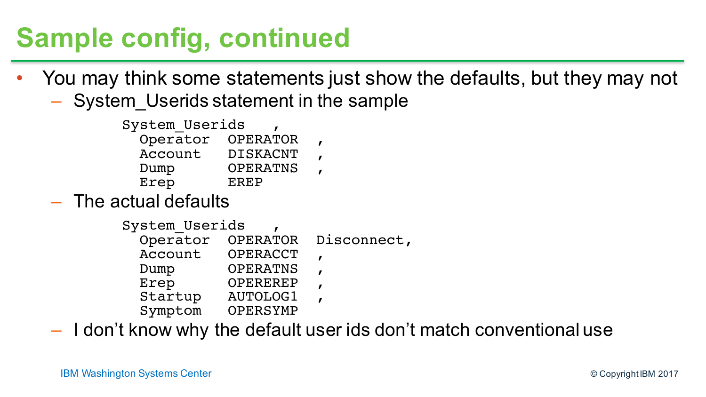## **Sample config, continued**

- You may think some statements just show the defaults, but they may not
	- System Userids statement in the sample
		- System\_Userids , Operator OPERATOR , Account DISKACNT Dump OPERATNS Erep EREP
	- The actual defaults
		- System Userids , Operator OPERATOR Disconnect, Account OPERACCT , Dump OPERATNS Erep OPEREREP Startup AUTOLOG1 Symptom OPERSYMP

– I don't know why the default user ids don't match conventional use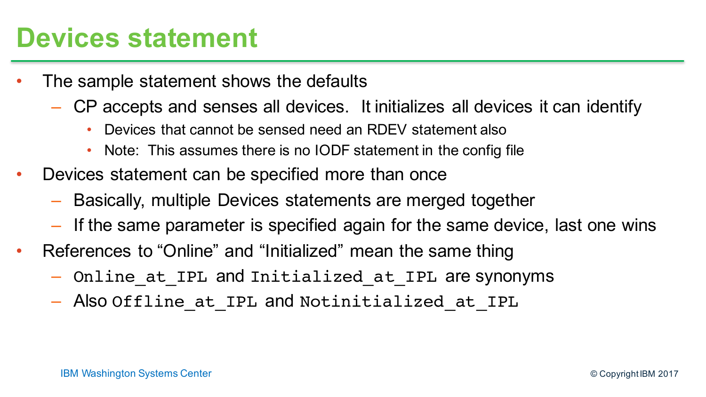#### **Devices statement**

- The sample statement shows the defaults
	- CP accepts and senses all devices. It initializes all devices it can identify
		- Devices that cannot be sensed need an RDEV statement also
		- Note: This assumes there is no IODF statement in the config file
- Devices statement can be specified more than once
	- Basically, multiple Devices statements are merged together
	- If the same parameter is specified again for the same device, last one wins
- References to "Online" and "Initialized" mean the same thing
	- Online\_at\_IPL and Initialized\_at\_IPL are synonyms
	- Also Offline at IPL and Notinitialized at IPL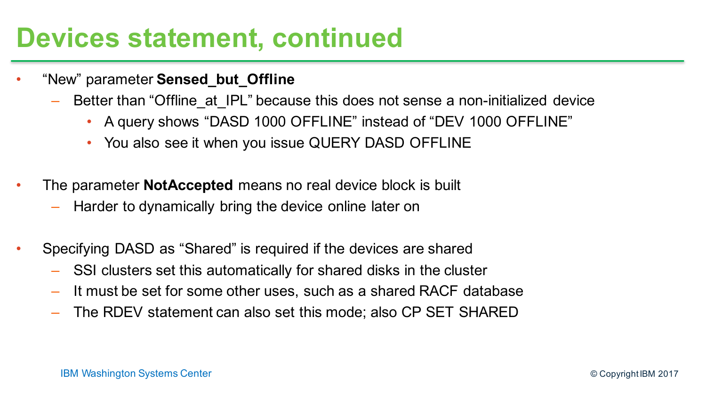#### **Devices statement, continued**

- "New" parameter **Sensed\_but\_Offline**
	- Better than "Offline at IPL" because this does not sense a non-initialized device
		- A query shows "DASD 1000 OFFLINE" instead of "DEV 1000 OFFLINE"
		- You also see it when you issue QUERY DASD OFFLINE
- The parameter **NotAccepted** means no real device block is built
	- Harder to dynamically bring the device online later on
- Specifying DASD as "Shared" is required if the devices are shared
	- SSI clusters set this automatically for shared disks in the cluster
	- It must be set for some other uses, such as a shared RACF database
	- The RDEV statement can also set this mode; also CP SET SHARED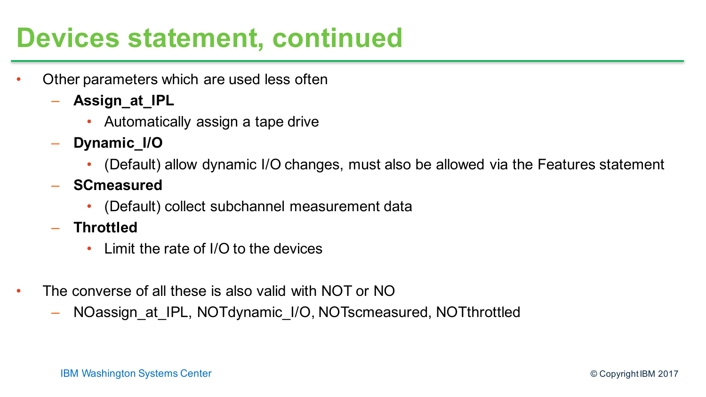#### **Devices statement, continued**

- Other parameters which are used less often
	- **Assign\_at\_IPL**
		- Automatically assign a tape drive
	- **Dynamic\_I/O**
		- (Default) allow dynamic I/O changes, must also be allowed via the Features statement
	- **SCmeasured**
		- (Default) collect subchannel measurement data
	- **Throttled**
		- Limit the rate of I/O to the devices
- The converse of all these is also valid with NOT or NO
	- NOassign at IPL, NOTdynamic I/O, NOTscmeasured, NOTthrottled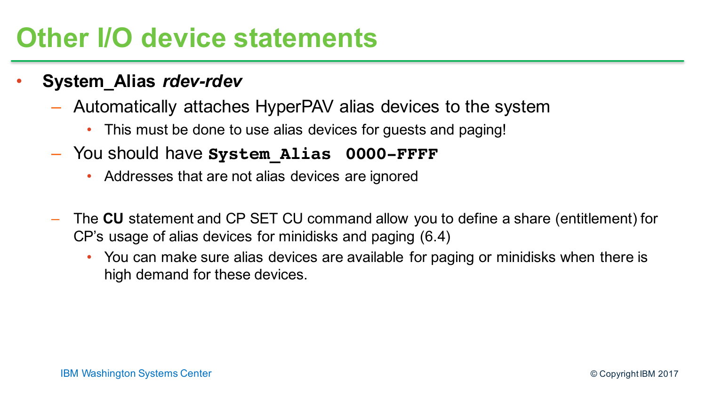#### **Other I/O device statements**

- **System\_Alias** *rdev-rdev*
	- Automatically attaches HyperPAV alias devices to the system
		- This must be done to use alias devices for guests and paging!
	- You should have **System\_Alias 0000-FFFF**
		- Addresses that are not alias devices are ignored
	- The **CU** statement and CP SET CU command allow you to define a share (entitlement) for CP's usage of alias devices for minidisks and paging (6.4)
		- You can make sure alias devices are available for paging or minidisks when there is high demand for these devices.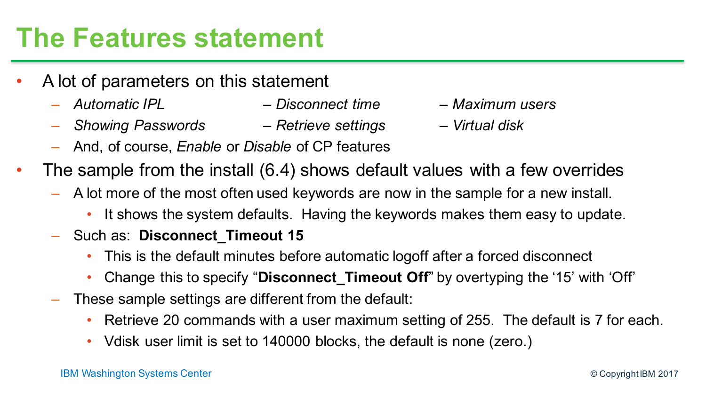#### **The Features statement**

- A lot of parameters on this statement
	- *Automatic IPL – Disconnect time – Maximum users*
	- *Showing Passwords – Retrieve settings – Virtual disk*
- 
- 

- And, of course, *Enable* or *Disable* of CP features
- The sample from the install (6.4) shows default values with a few overrides
	- A lot more of the most often used keywords are now in the sample for a new install.
		- It shows the system defaults. Having the keywords makes them easy to update.
	- Such as: **Disconnect\_Timeout 15**
		- This is the default minutes before automatic logoff after a forced disconnect
		- Change this to specify "**Disconnect\_Timeout Off**" by overtyping the '15' with 'Off'
	- These sample settings are different from the default:
		- Retrieve 20 commands with a user maximum setting of 255. The default is 7 for each.
		- Vdisk user limit is set to 140000 blocks, the default is none (zero.)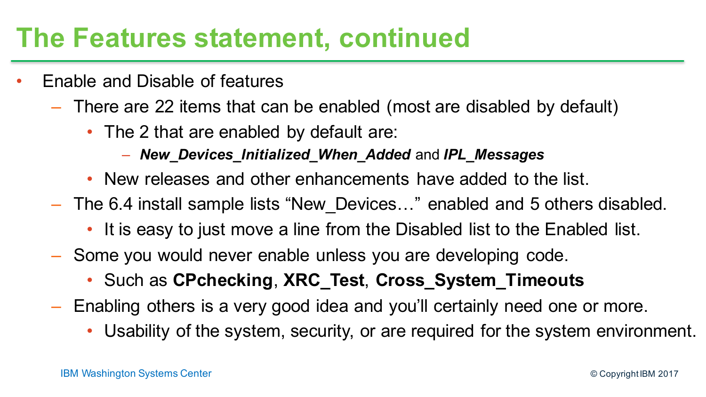#### **The Features statement, continued**

- Enable and Disable of features
	- There are 22 items that can be enabled (most are disabled by default)
		- The 2 that are enabled by default are:
			- *New\_Devices\_Initialized\_When\_Added* and *IPL\_Messages*
		- New releases and other enhancements have added to the list.
	- The 6.4 install sample lists "New\_Devices…" enabled and 5 others disabled.
		- It is easy to just move a line from the Disabled list to the Enabled list.
	- Some you would never enable unless you are developing code.
		- Such as **CPchecking**, **XRC\_Test**, **Cross\_System\_Timeouts**
	- Enabling others is a very good idea and you'll certainly need one or more.
		- Usability of the system, security, or are required for the system environment.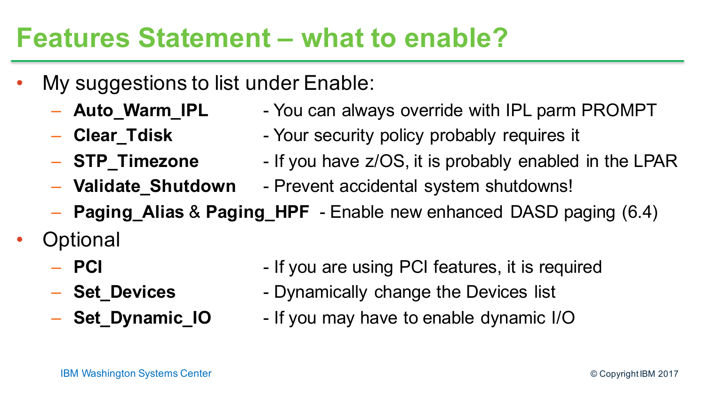#### **Features Statement – what to enable?**

- My suggestions to list under Enable:
	-
	- Auto\_Warm\_IPL You can always override with IPL parm PROMPT
	- **Clear\_Tdisk** Your security policy probably requires it
	-
	- **STP Timezone** If you have z/OS, it is probably enabled in the LPAR
	- **Validate\_Shutdown** Prevent accidental system shutdowns!
	- **Paging\_Alias** & **Paging\_HPF** Enable new enhanced DASD paging (6.4)
- **Optional** 
	-
	-
	-
	- **PCI** If you are using PCI features, it is required
	- **Set\_Devices** Dynamically change the Devices list
	- **Set Dynamic IO** If you may have to enable dynamic I/O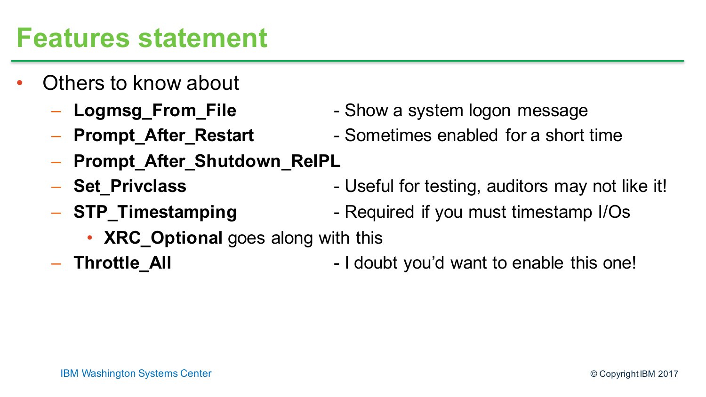#### **Features statement**

- Others to know about
	-
	-
	- **Prompt\_After\_Shutdown\_ReIPL**
	-
	-
- Logmsg\_From\_File Show a system logon message
- **Prompt\_After\_Restart** Sometimes enabled for a short time
- **Set Privclass** Useful for testing, auditors may not like it!
- **STP Timestamping** Required if you must timestamp I/Os
	- **XRC\_Optional** goes along with this
- 
- **Throttle All I** doubt you'd want to enable this one!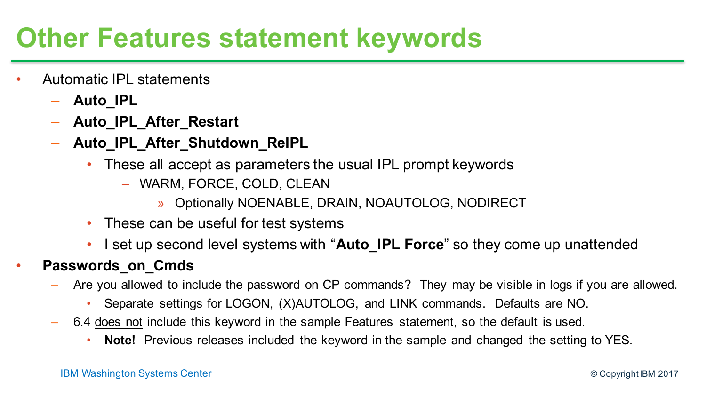#### **Other Features statement keywords**

- Automatic IPL statements
	- **Auto\_IPL**
	- **Auto\_IPL\_After\_Restart**
	- **Auto\_IPL\_After\_Shutdown\_ReIPL**
		- These all accept as parameters the usual IPL prompt keywords
			- WARM, FORCE, COLD, CLEAN
				- » Optionally NOENABLE, DRAIN, NOAUTOLOG, NODIRECT
		- These can be useful for test systems
		- I set up second level systems with "**Auto\_IPL Force**" so they come up unattended

#### • **Passwords\_on\_Cmds**

- Are you allowed to include the password on CP commands? They may be visible in logs if you are allowed.
	- Separate settings for LOGON, (X)AUTOLOG, and LINK commands. Defaults are NO.
- 6.4 does not include this keyword in the sample Features statement, so the default is used.
	- **Note!** Previous releases included the keyword in the sample and changed the setting to YES.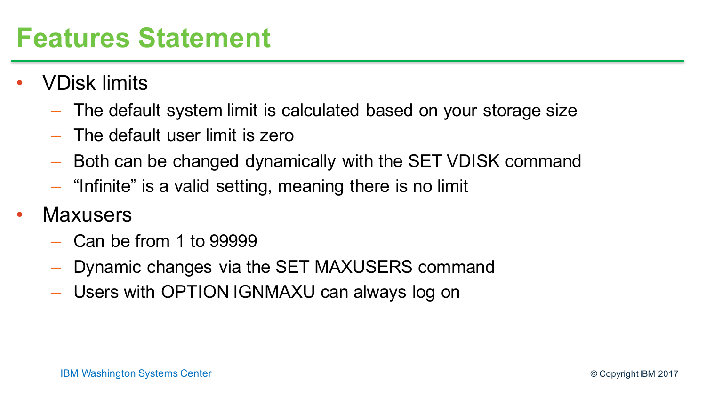#### **Features Statement**

- VDisk limits
	- The default system limit is calculated based on your storage size
	- The default user limit is zero
	- Both can be changed dynamically with the SET VDISK command
	- "Infinite" is a valid setting, meaning there is no limit
- **Maxusers** 
	- Can be from 1 to 99999
	- Dynamic changes via the SET MAXUSERS command
	- Users with OPTION IGNMAXU can always log on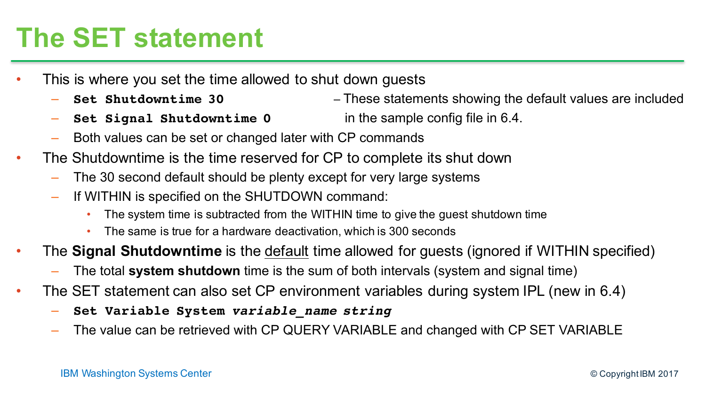### **The SET statement**

- This is where you set the time allowed to shut down guests
	- **Set Shutdowntime 30** These statements showing the default values are included
	- **Set Signal Shutdowntime 0** in the sample config file in 6.4.
	- Both values can be set or changed later with CP commands
- The Shutdowntime is the time reserved for CP to complete its shut down
	- The 30 second default should be plenty except for very large systems
	- If WITHIN is specified on the SHUTDOWN command:
		- The system time is subtracted from the WITHIN time to give the guest shutdown time
		- The same is true for a hardware deactivation, which is 300 seconds
- The **Signal Shutdowntime** is the default time allowed for guests (ignored if WITHIN specified)
	- The total **system shutdown** time is the sum of both intervals (system and signal time)
- The SET statement can also set CP environment variables during system IPL (new in 6.4)
	- **Set Variable System** *variable\_name string*
	- The value can be retrieved with CP QUERY VARIABLE and changed with CP SET VARIABLE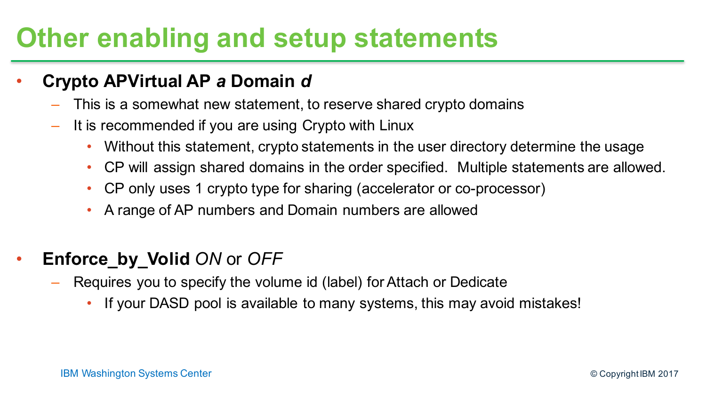#### **Other enabling and setup statements**

#### • **Crypto APVirtual AP** *a* **Domain** *d*

- This is a somewhat new statement, to reserve shared crypto domains
- It is recommended if you are using Crypto with Linux
	- Without this statement, crypto statements in the user directory determine the usage
	- CP will assign shared domains in the order specified. Multiple statements are allowed.
	- CP only uses 1 crypto type for sharing (accelerator or co-processor)
	- A range of AP numbers and Domain numbers are allowed
- **Enforce\_by\_Volid** *ON* or *OFF*
	- Requires you to specify the volume id (label) for Attach or Dedicate
		- If your DASD pool is available to many systems, this may avoid mistakes!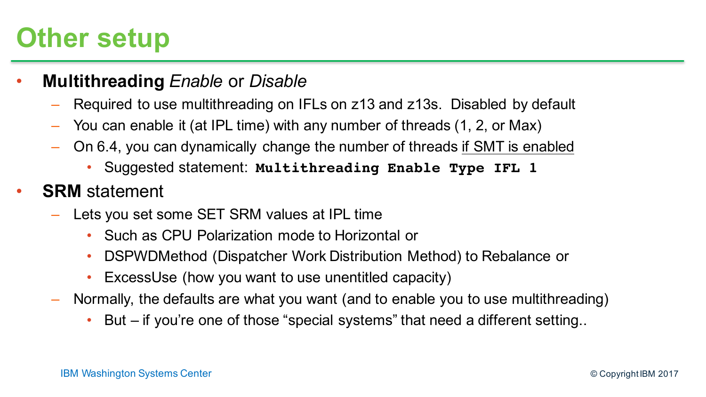#### **Other setup**

- **Multithreading** *Enable* or *Disable*
	- Required to use multithreading on IFLs on z13 and z13s. Disabled by default
	- You can enable it (at IPL time) with any number of threads (1, 2, or Max)
	- On 6.4, you can dynamically change the number of threads if SMT is enabled
		- Suggested statement: **Multithreading Enable Type IFL 1**
- **SRM** statement
	- Lets you set some SET SRM values at IPL time
		- Such as CPU Polarization mode to Horizontal or
		- DSPWDMethod (Dispatcher Work Distribution Method) to Rebalance or
		- ExcessUse (how you want to use unentitled capacity)
	- Normally, the defaults are what you want (and to enable you to use multithreading)
		- But if you're one of those "special systems" that need a different setting..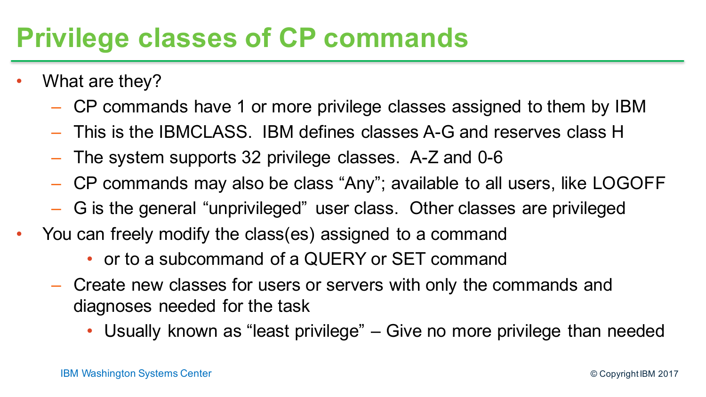#### **Privilege classes of CP commands**

- What are they?
	- CP commands have 1 or more privilege classes assigned to them by IBM
	- This is the IBMCLASS. IBM defines classes A-G and reserves class H
	- The system supports 32 privilege classes. A-Z and 0-6
	- CP commands may also be class "Any"; available to all users, like LOGOFF
	- G is the general "unprivileged" user class. Other classes are privileged
- You can freely modify the class(es) assigned to a command
	- or to a subcommand of a QUERY or SET command
	- Create new classes for users or servers with only the commands and diagnoses needed for the task
		- Usually known as "least privilege" Give no more privilege than needed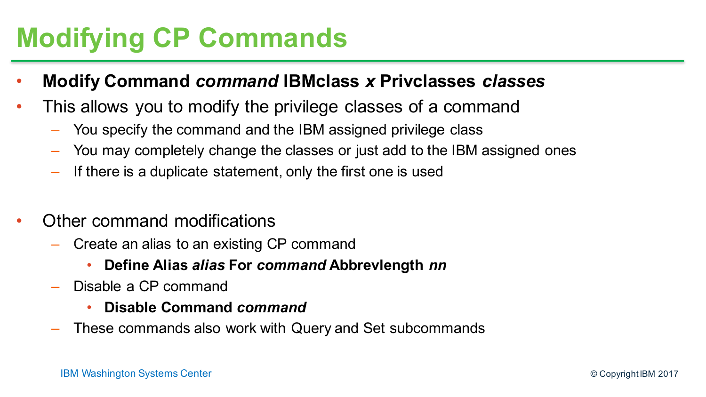# **Modifying CP Commands**

- **Modify Command** *command* **IBMclass** *x* **Privclasses** *classes*
- This allows you to modify the privilege classes of a command
	- You specify the command and the IBM assigned privilege class
	- You may completely change the classes or just add to the IBM assigned ones
	- If there is a duplicate statement, only the first one is used
- Other command modifications
	- Create an alias to an existing CP command
		- **Define Alias** *alias* **For** *command* **Abbrevlength** *nn*
	- Disable a CP command
		- **Disable Command** *command*
	- These commands also work with Query and Set subcommands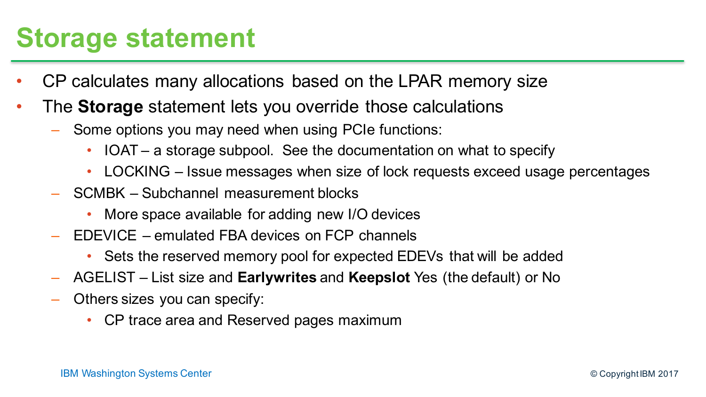#### **Storage statement**

- CP calculates many allocations based on the LPAR memory size
- The **Storage** statement lets you override those calculations
	- Some options you may need when using PCIe functions:
		- IOAT a storage subpool. See the documentation on what to specify
		- LOCKING Issue messages when size of lock requests exceed usage percentages
	- SCMBK Subchannel measurement blocks
		- More space available for adding new I/O devices
	- EDEVICE emulated FBA devices on FCP channels
		- Sets the reserved memory pool for expected EDEVs that will be added
	- AGELIST List size and **Earlywrites** and **Keepslot** Yes (the default) or No
	- Others sizes you can specify:
		- CP trace area and Reserved pages maximum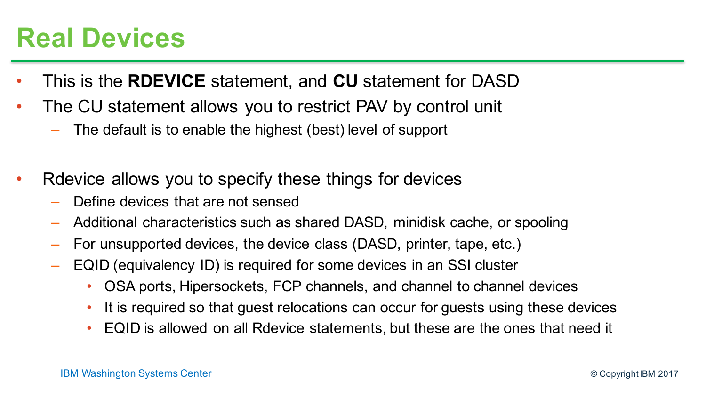#### **Real Devices**

- This is the **RDEVICE** statement, and **CU** statement for DASD
- The CU statement allows you to restrict PAV by control unit
	- The default is to enable the highest (best) level of support
- Rdevice allows you to specify these things for devices
	- Define devices that are not sensed
	- Additional characteristics such as shared DASD, minidisk cache, or spooling
	- For unsupported devices, the device class (DASD, printer, tape, etc.)
	- EQID (equivalency ID) is required for some devices in an SSI cluster
		- OSA ports, Hipersockets, FCP channels, and channel to channel devices
		- It is required so that guest relocations can occur for guests using these devices
		- EQID is allowed on all Rdevice statements, but these are the ones that need it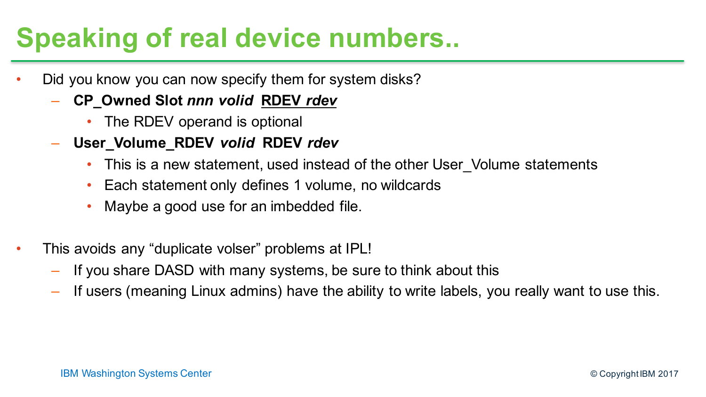### **Speaking of real device numbers..**

- Did you know you can now specify them for system disks?
	- **CP\_Owned Slot** *nnn volid* **RDEV** *rdev*
		- The RDEV operand is optional
	- **User\_Volume\_RDEV** *volid* **RDEV** *rdev*
		- This is a new statement, used instead of the other User Volume statements
		- Each statement only defines 1 volume, no wildcards
		- Maybe a good use for an imbedded file.
- This avoids any "duplicate volser" problems at IPL!
	- If you share DASD with many systems, be sure to think about this
	- If users (meaning Linux admins) have the ability to write labels, you really want to use this.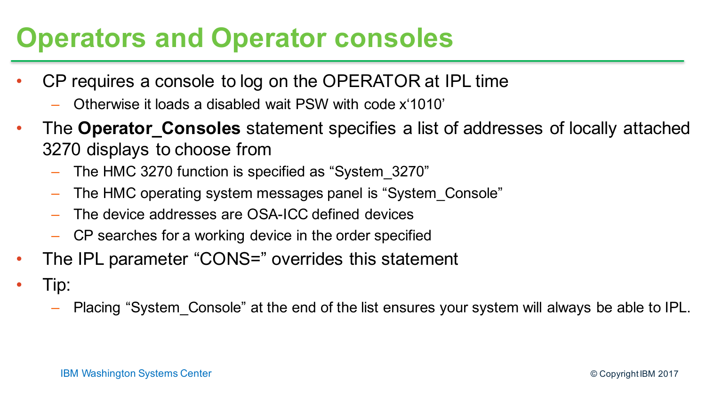#### **Operators and Operator consoles**

- CP requires a console to log on the OPERATOR at IPL time
	- Otherwise it loads a disabled wait PSW with code x'1010'
- The **Operator\_Consoles** statement specifies a list of addresses of locally attached 3270 displays to choose from
	- The HMC 3270 function is specified as "System\_3270"
	- The HMC operating system messages panel is "System\_Console"
	- The device addresses are OSA-ICC defined devices
	- CP searches for a working device in the order specified
- The IPL parameter "CONS=" overrides this statement
- Tip:
	- Placing "System\_Console" at the end of the list ensures your system will always be able to IPL.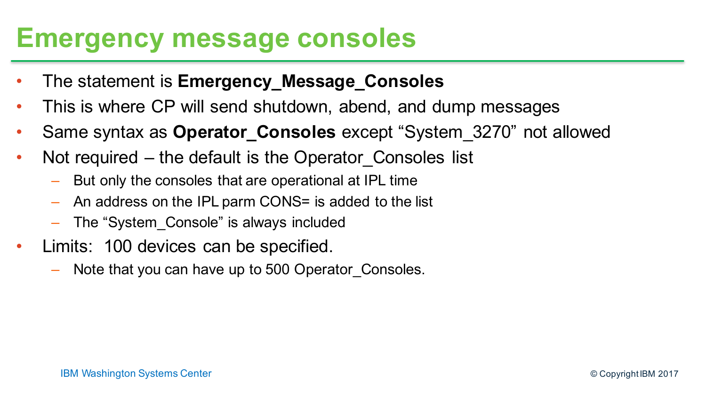#### **Emergency message consoles**

- The statement is **Emergency\_Message\_Consoles**
- This is where CP will send shutdown, abend, and dump messages
- Same syntax as **Operator\_Consoles** except "System\_3270" not allowed
- Not required the default is the Operator Consoles list
	- But only the consoles that are operational at IPL time
	- An address on the IPL parm CONS= is added to the list
	- The "System\_Console" is always included
- Limits: 100 devices can be specified.
	- Note that you can have up to 500 Operator\_Consoles.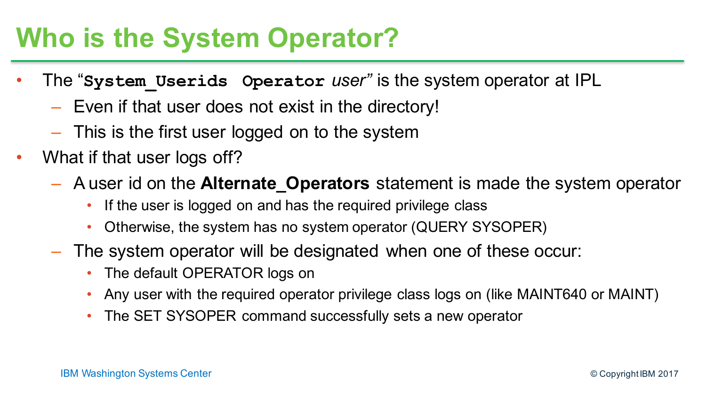#### **Who is the System Operator?**

- The "**System\_Userids Operator** *user"* is the system operator at IPL
	- Even if that user does not exist in the directory!
	- This is the first user logged on to the system
- What if that user logs off?
	- A user id on the **Alternate\_Operators** statement is made the system operator
		- If the user is logged on and has the required privilege class
		- Otherwise, the system has no system operator (QUERY SYSOPER)
	- The system operator will be designated when one of these occur:
		- The default OPERATOR logs on
		- Any user with the required operator privilege class logs on (like MAINT640 or MAINT)
		- The SET SYSOPER command successfully sets a new operator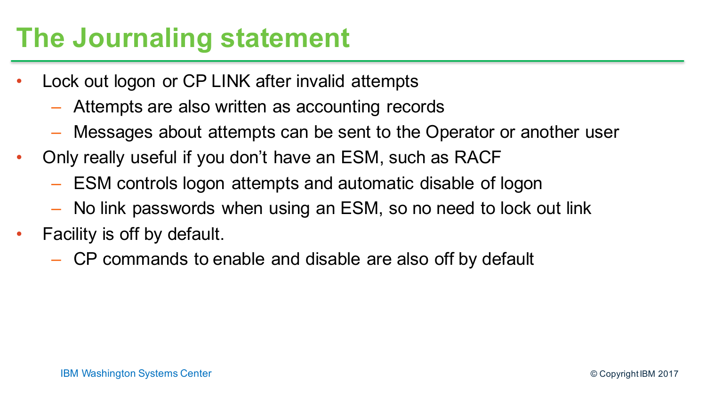### **The Journaling statement**

- Lock out logon or CP LINK after invalid attempts
	- Attempts are also written as accounting records
	- Messages about attempts can be sent to the Operator or another user
- Only really useful if you don't have an ESM, such as RACF
	- ESM controls logon attempts and automatic disable of logon
	- No link passwords when using an ESM, so no need to lock out link
- Facility is off by default.
	- CP commands to enable and disable are also off by default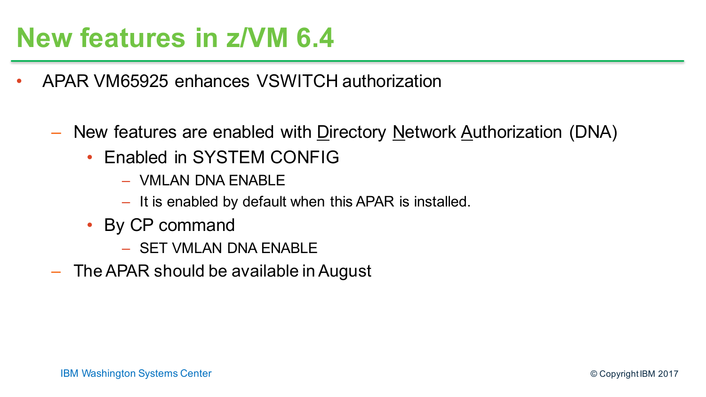#### **New features in z/VM 6.4**

- APAR VM65925 enhances VSWITCH authorization
	- New features are enabled with Directory Network Authorization (DNA)
		- Enabled in SYSTEM CONFIG
			- VMLAN DNA ENABLE
			- It is enabled by default when this APAR is installed.
		- By CP command
			- SET VMLAN DNA ENABLE
	- The APAR should be available in August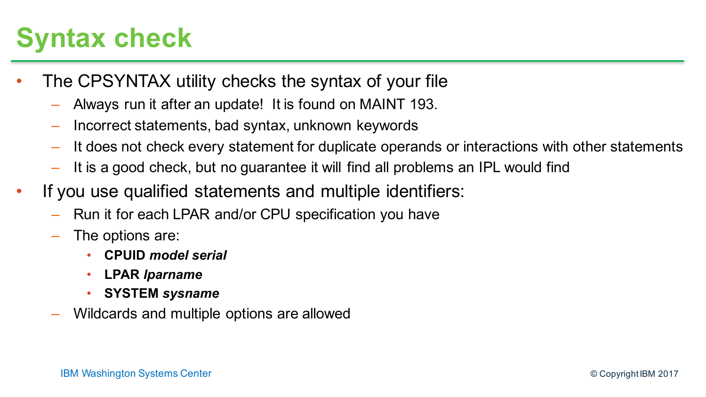#### **Syntax check**

- The CPSYNTAX utility checks the syntax of your file
	- Always run it after an update! It is found on MAINT 193.
	- Incorrect statements, bad syntax, unknown keywords
	- It does not check every statement for duplicate operands or interactions with other statements
	- It is a good check, but no guarantee it will find all problems an IPL would find
- If you use qualified statements and multiple identifiers:
	- Run it for each LPAR and/or CPU specification you have
	- The options are:
		- **CPUID** *model serial*
		- **LPAR** *lparname*
		- **SYSTEM** *sysname*
	- Wildcards and multiple options are allowed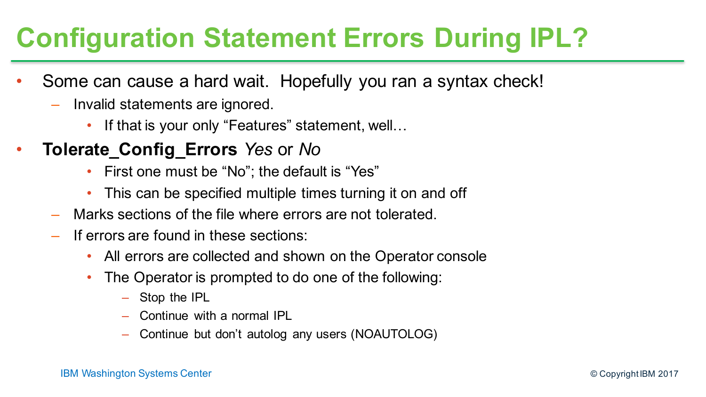# **Configuration Statement Errors During IPL?**

- Some can cause a hard wait. Hopefully you ran a syntax check!
	- Invalid statements are ignored.
		- If that is your only "Features" statement, well...
- **Tolerate\_Config\_Errors** *Yes* or *No*
	- First one must be "No"; the default is "Yes"
	- This can be specified multiple times turning it on and off
	- Marks sections of the file where errors are not tolerated.
	- If errors are found in these sections:
		- All errors are collected and shown on the Operator console
		- The Operator is prompted to do one of the following:
			- Stop the IPL
			- Continue with a normal IPL
			- Continue but don't autolog any users (NOAUTOLOG)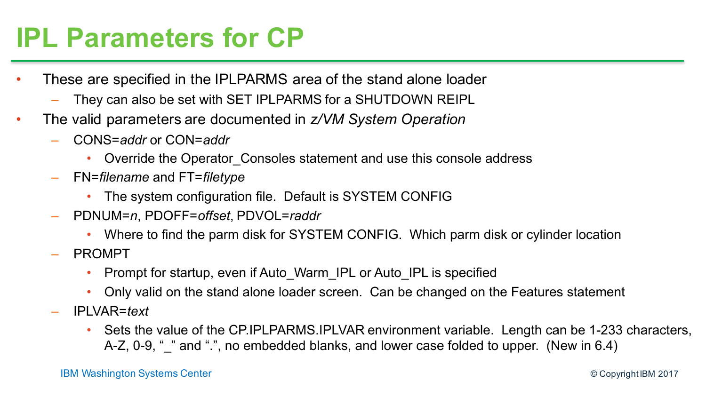#### **IPL Parameters for CP**

- These are specified in the IPLPARMS area of the stand alone loader
	- They can also be set with SET IPLPARMS for a SHUTDOWN REIPL
- The valid parameters are documented in *z/VM System Operation*
	- CONS=*addr* or CON=*addr*
		- Override the Operator\_Consoles statement and use this console address
	- FN=*filename* and FT=*filetype*
		- The system configuration file. Default is SYSTEM CONFIG
	- PDNUM=*n*, PDOFF=*offset*, PDVOL=*raddr*
		- Where to find the parm disk for SYSTEM CONFIG. Which parm disk or cylinder location
	- PROMPT
		- Prompt for startup, even if Auto\_Warm\_IPL or Auto\_IPL is specified
		- Only valid on the stand alone loader screen. Can be changed on the Features statement
	- IPLVAR=*text*
		- Sets the value of the CP.IPLPARMS.IPLVAR environment variable. Length can be 1-233 characters, A-Z, 0-9, " " and ".", no embedded blanks, and lower case folded to upper. (New in 6.4)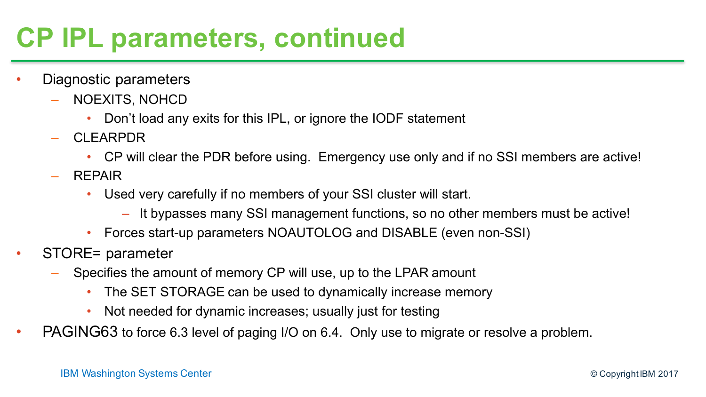# **CP IPL parameters, continued**

- Diagnostic parameters
	- NOEXITS, NOHCD
		- Don't load any exits for this IPL, or ignore the IODF statement
	- CLEARPDR
		- CP will clear the PDR before using. Emergency use only and if no SSI members are active!
	- REPAIR
		- Used very carefully if no members of your SSI cluster will start.
			- It bypasses many SSI management functions, so no other members must be active!
		- Forces start-up parameters NOAUTOLOG and DISABLE (even non-SSI)
- STORE= parameter
	- Specifies the amount of memory CP will use, up to the LPAR amount
		- The SET STORAGE can be used to dynamically increase memory
		- Not needed for dynamic increases; usually just for testing
- PAGING63 to force 6.3 level of paging I/O on 6.4. Only use to migrate or resolve a problem.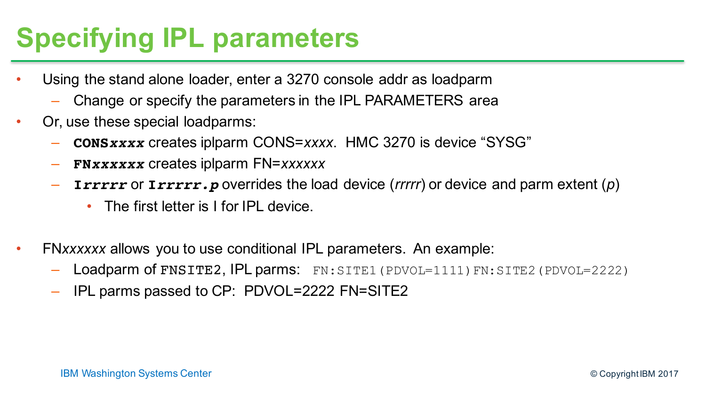# **Specifying IPL parameters**

- Using the stand alone loader, enter a 3270 console addr as loadparm
	- Change or specify the parameters in the IPL PARAMETERS area
- Or, use these special loadparms:
	- **CONS***xxxx* creates iplparm CONS=*xxxx*. HMC 3270 is device "SYSG"
	- **FN***xxxxxx* creates iplparm FN=*xxxxxx*
	- **I***rrrrr* or **I***rrrrr.p* overrides the load device (*rrrrr*) or device and parm extent (*p*)
		- The first letter is I for IPL device.
- FN*xxxxxx* allows you to use conditional IPL parameters. An example:
	- Loadparm of FNSITE2, IPL parms: FN: SITE1 (PDVOL=1111) FN: SITE2 (PDVOL=2222)
	- IPL parms passed to CP: PDVOL=2222 FN=SITE2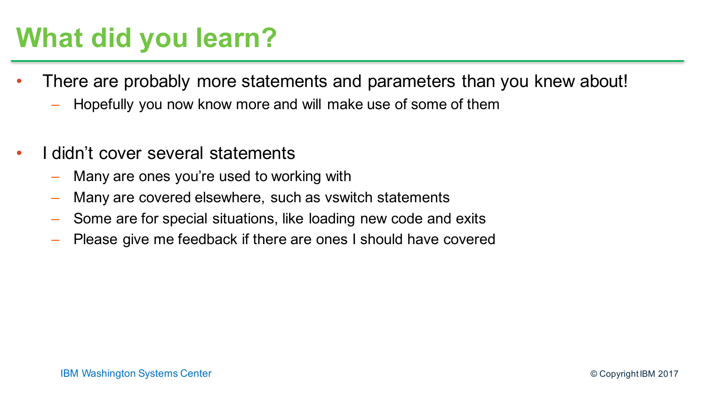### **What did you learn?**

- There are probably more statements and parameters than you knew about!
	- Hopefully you now know more and will make use of some of them
- I didn't cover several statements
	- Many are ones you're used to working with
	- Many are covered elsewhere, such as vswitch statements
	- Some are for special situations, like loading new code and exits
	- Please give me feedback if there are ones I should have covered